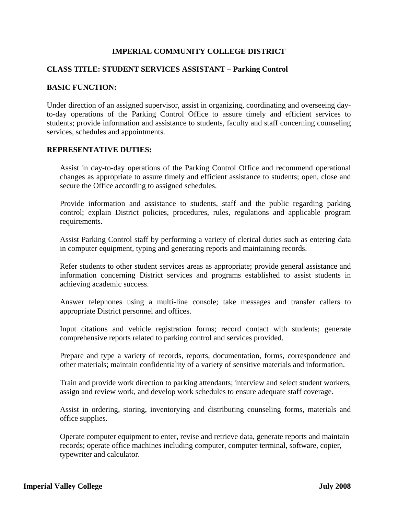# **IMPERIAL COMMUNITY COLLEGE DISTRICT**

### **CLASS TITLE: STUDENT SERVICES ASSISTANT – Parking Control**

## **BASIC FUNCTION:**

Under direction of an assigned supervisor, assist in organizing, coordinating and overseeing dayto-day operations of the Parking Control Office to assure timely and efficient services to students; provide information and assistance to students, faculty and staff concerning counseling services, schedules and appointments.

### **REPRESENTATIVE DUTIES:**

Assist in day-to-day operations of the Parking Control Office and recommend operational changes as appropriate to assure timely and efficient assistance to students; open, close and secure the Office according to assigned schedules.

Provide information and assistance to students, staff and the public regarding parking control; explain District policies, procedures, rules, regulations and applicable program requirements.

Assist Parking Control staff by performing a variety of clerical duties such as entering data in computer equipment, typing and generating reports and maintaining records.

Refer students to other student services areas as appropriate; provide general assistance and information concerning District services and programs established to assist students in achieving academic success.

Answer telephones using a multi-line console; take messages and transfer callers to appropriate District personnel and offices.

Input citations and vehicle registration forms; record contact with students; generate comprehensive reports related to parking control and services provided.

Prepare and type a variety of records, reports, documentation, forms, correspondence and other materials; maintain confidentiality of a variety of sensitive materials and information.

Train and provide work direction to parking attendants; interview and select student workers, assign and review work, and develop work schedules to ensure adequate staff coverage.

Assist in ordering, storing, inventorying and distributing counseling forms, materials and office supplies.

Operate computer equipment to enter, revise and retrieve data, generate reports and maintain records; operate office machines including computer, computer terminal, software, copier, typewriter and calculator.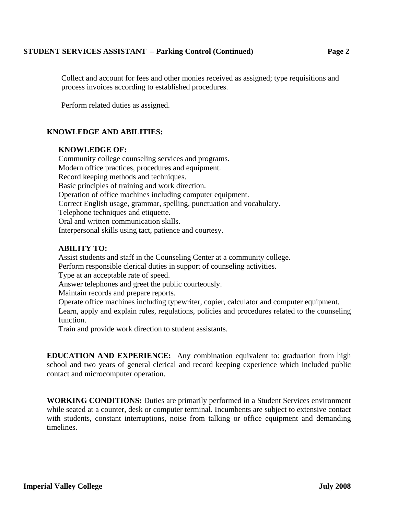# **STUDENT SERVICES ASSISTANT – Parking Control (Continued) Page 2**

Collect and account for fees and other monies received as assigned; type requisitions and process invoices according to established procedures.

Perform related duties as assigned.

# **KNOWLEDGE AND ABILITIES:**

### **KNOWLEDGE OF:**

Community college counseling services and programs. Modern office practices, procedures and equipment. Record keeping methods and techniques. Basic principles of training and work direction. Operation of office machines including computer equipment. Correct English usage, grammar, spelling, punctuation and vocabulary. Telephone techniques and etiquette. Oral and written communication skills. Interpersonal skills using tact, patience and courtesy.

### **ABILITY TO:**

Assist students and staff in the Counseling Center at a community college. Perform responsible clerical duties in support of counseling activities. Type at an acceptable rate of speed. Answer telephones and greet the public courteously. Maintain records and prepare reports. Operate office machines including typewriter, copier, calculator and computer equipment. Learn, apply and explain rules, regulations, policies and procedures related to the counseling function. Train and provide work direction to student assistants.

**EDUCATION AND EXPERIENCE:** Any combination equivalent to: graduation from high school and two years of general clerical and record keeping experience which included public contact and microcomputer operation.

**WORKING CONDITIONS:** Duties are primarily performed in a Student Services environment while seated at a counter, desk or computer terminal. Incumbents are subject to extensive contact with students, constant interruptions, noise from talking or office equipment and demanding timelines.